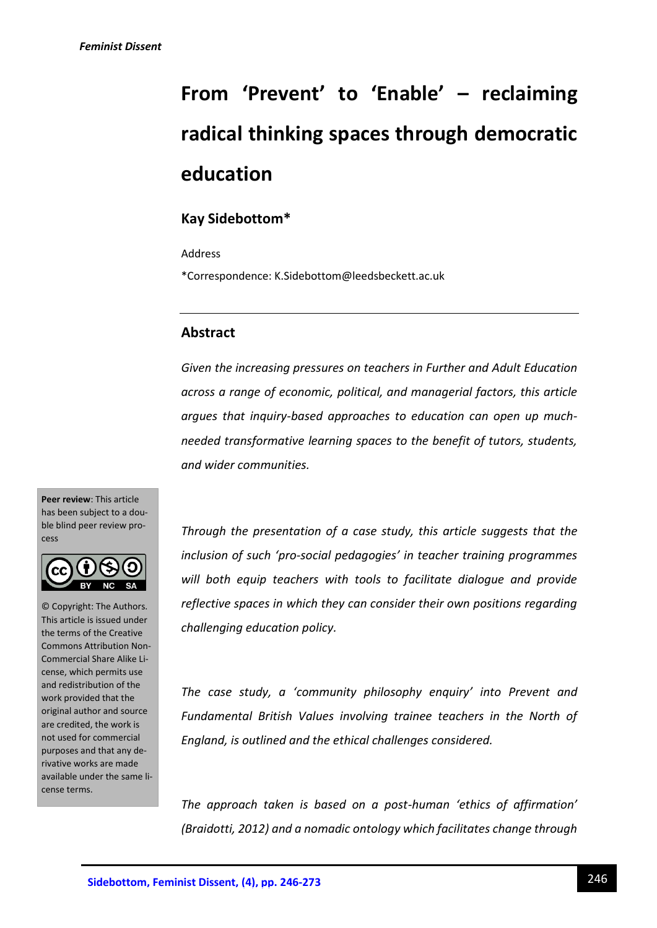# **From 'Prevent' to 'Enable' – reclaiming radical thinking spaces through democratic education**

# **Kay Sidebottom\***

Address

\*Correspondence: K.Sidebottom@leedsbeckett.ac.uk

## **Abstract**

*Given the increasing pressures on teachers in Further and Adult Education across a range of economic, political, and managerial factors, this article argues that inquiry-based approaches to education can open up muchneeded transformative learning spaces to the benefit of tutors, students, and wider communities.*

**Peer review**: This article has been subject to a double blind peer review process



© Copyright: The Authors. This article is issued under the terms of the Creative Commons Attribution Non-Commercial Share Alike License, which permits use and redistribution of the work provided that the original author and source are credited, the work is not used for commercial purposes and that any derivative works are made available under the same license terms.

*Through the presentation of a case study, this article suggests that the inclusion of such 'pro-social pedagogies' in teacher training programmes will both equip teachers with tools to facilitate dialogue and provide reflective spaces in which they can consider their own positions regarding challenging education policy.*

*The case study, a 'community philosophy enquiry' into Prevent and Fundamental British Values involving trainee teachers in the North of England, is outlined and the ethical challenges considered.*

*The approach taken is based on a post-human 'ethics of affirmation' (Braidotti, 2012) and a nomadic ontology which facilitates change through*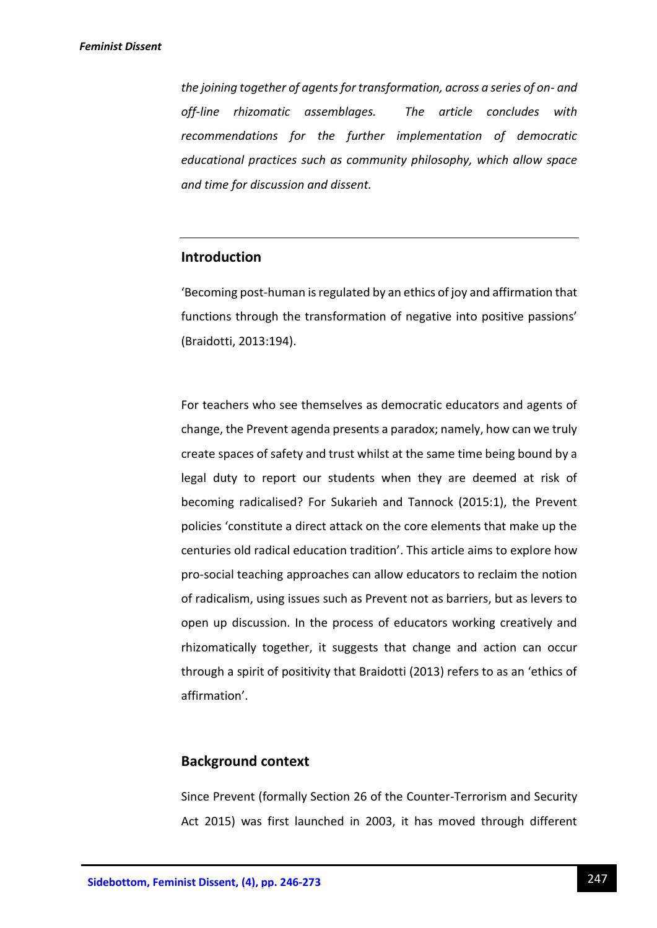*the joining together of agents for transformation, across a series of on- and off-line rhizomatic assemblages. The article concludes with recommendations for the further implementation of democratic educational practices such as community philosophy, which allow space and time for discussion and dissent.*

## **Introduction**

'Becoming post-human is regulated by an ethics of joy and affirmation that functions through the transformation of negative into positive passions' (Braidotti, 2013:194).

For teachers who see themselves as democratic educators and agents of change, the Prevent agenda presents a paradox; namely, how can we truly create spaces of safety and trust whilst at the same time being bound by a legal duty to report our students when they are deemed at risk of becoming radicalised? For Sukarieh and Tannock (2015:1), the Prevent policies 'constitute a direct attack on the core elements that make up the centuries old radical education tradition'. This article aims to explore how pro-social teaching approaches can allow educators to reclaim the notion of radicalism, using issues such as Prevent not as barriers, but as levers to open up discussion. In the process of educators working creatively and rhizomatically together, it suggests that change and action can occur through a spirit of positivity that Braidotti (2013) refers to as an 'ethics of affirmation'.

## **Background context**

Since Prevent (formally Section 26 of the Counter-Terrorism and Security Act 2015) was first launched in 2003, it has moved through different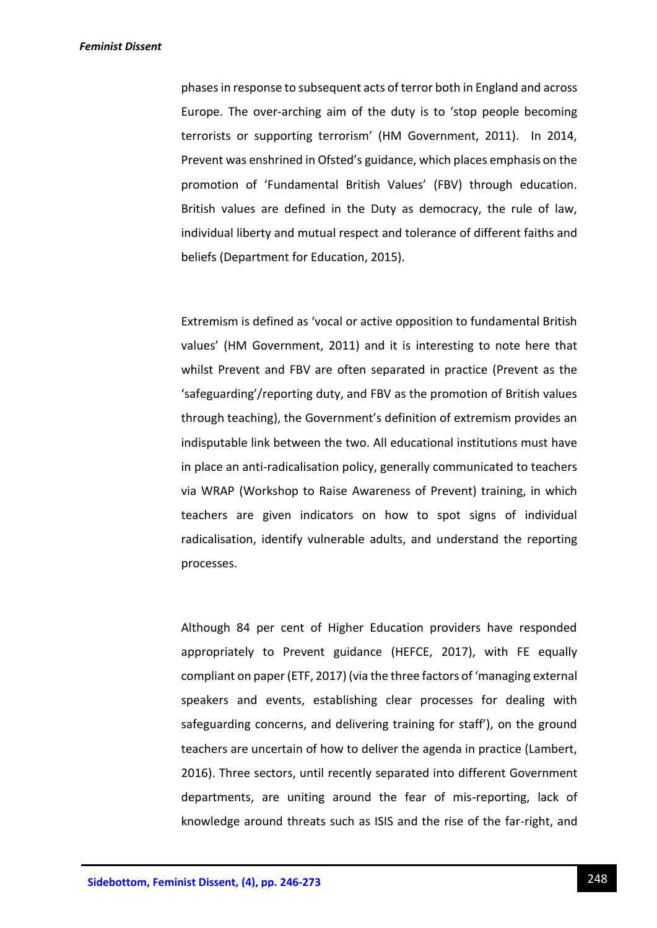phases in response to subsequent acts of terror both in England and across Europe. The over-arching aim of the duty is to 'stop people becoming terrorists or supporting terrorism' (HM Government, 2011). In 2014, Prevent was enshrined in Ofsted's guidance, which places emphasis on the promotion of 'Fundamental British Values' (FBV) through education. British values are defined in the Duty as democracy, the rule of law, individual liberty and mutual respect and tolerance of different faiths and beliefs (Department for Education, 2015).

Extremism is defined as 'vocal or active opposition to fundamental British values' (HM Government, 2011) and it is interesting to note here that whilst Prevent and FBV are often separated in practice (Prevent as the 'safeguarding'/reporting duty, and FBV as the promotion of British values through teaching), the Government's definition of extremism provides an indisputable link between the two. All educational institutions must have in place an anti-radicalisation policy, generally communicated to teachers via WRAP (Workshop to Raise Awareness of Prevent) training, in which teachers are given indicators on how to spot signs of individual radicalisation, identify vulnerable adults, and understand the reporting processes.

Although 84 per cent of Higher Education providers have responded appropriately to Prevent guidance (HEFCE, 2017), with FE equally compliant on paper (ETF, 2017) (via the three factors of 'managing external speakers and events, establishing clear processes for dealing with safeguarding concerns, and delivering training for staff'), on the ground teachers are uncertain of how to deliver the agenda in practice (Lambert, 2016). Three sectors, until recently separated into different Government departments, are uniting around the fear of mis-reporting, lack of knowledge around threats such as ISIS and the rise of the far-right, and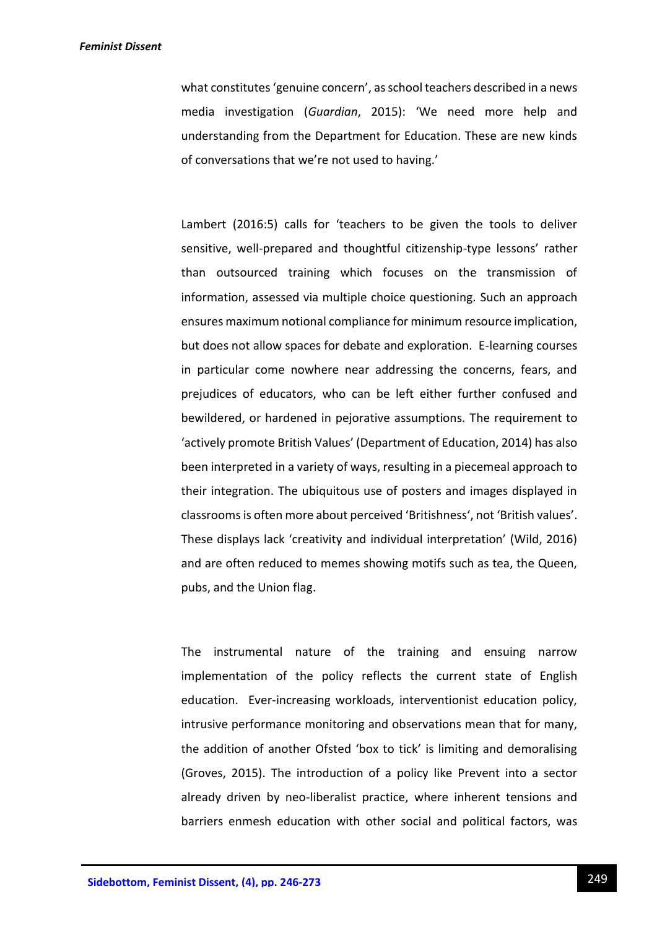what constitutes 'genuine concern', as school teachers described in a news media investigation (*Guardian*, 2015): 'We need more help and understanding from the Department for Education. These are new kinds of conversations that we're not used to having.'

Lambert (2016:5) calls for 'teachers to be given the tools to deliver sensitive, well-prepared and thoughtful citizenship-type lessons' rather than outsourced training which focuses on the transmission of information, assessed via multiple choice questioning*.* Such an approach ensures maximum notional compliance for minimum resource implication, but does not allow spaces for debate and exploration. E-learning courses in particular come nowhere near addressing the concerns, fears, and prejudices of educators, who can be left either further confused and bewildered, or hardened in pejorative assumptions. The requirement to 'actively promote British Values' (Department of Education, 2014) has also been interpreted in a variety of ways, resulting in a piecemeal approach to their integration. The ubiquitous use of posters and images displayed in classrooms is often more about perceived 'Britishness', not 'British values'. These displays lack 'creativity and individual interpretation' (Wild, 2016) and are often reduced to memes showing motifs such as tea, the Queen, pubs, and the Union flag.

The instrumental nature of the training and ensuing narrow implementation of the policy reflects the current state of English education. Ever-increasing workloads, interventionist education policy, intrusive performance monitoring and observations mean that for many, the addition of another Ofsted 'box to tick' is limiting and demoralising (Groves, 2015). The introduction of a policy like Prevent into a sector already driven by neo-liberalist practice, where inherent tensions and barriers enmesh education with other social and political factors, was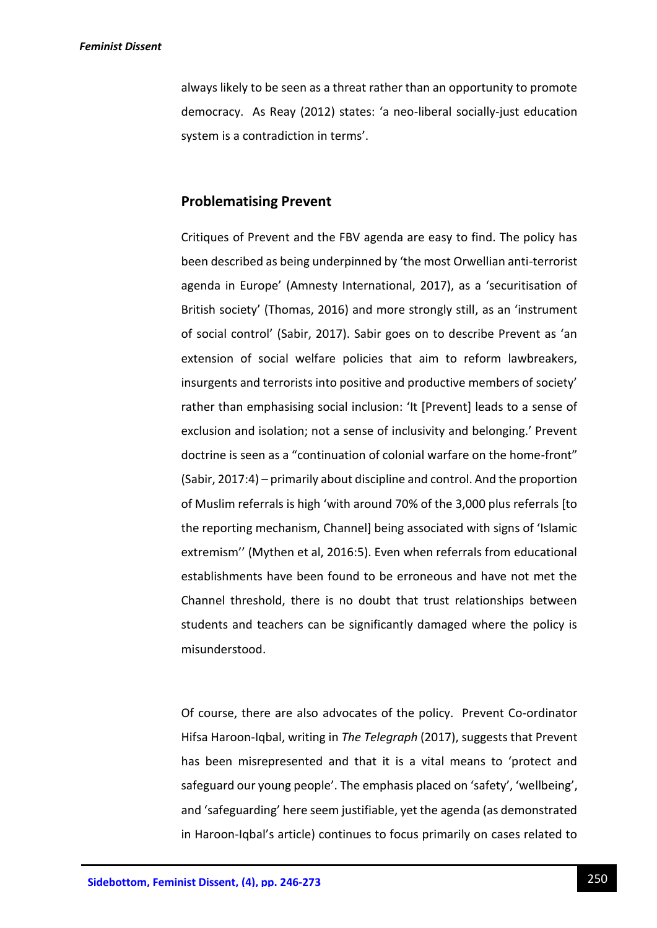always likely to be seen as a threat rather than an opportunity to promote democracy. As Reay (2012) states: 'a neo-liberal socially-just education system is a contradiction in terms'.

## **Problematising Prevent**

Critiques of Prevent and the FBV agenda are easy to find. The policy has been described as being underpinned by 'the most Orwellian anti-terrorist agenda in Europe' (Amnesty International, 2017), as a 'securitisation of British society' (Thomas, 2016) and more strongly still, as an 'instrument of social control' (Sabir, 2017). Sabir goes on to describe Prevent as 'an extension of social welfare policies that aim to reform lawbreakers, insurgents and terrorists into positive and productive members of society' rather than emphasising social inclusion: 'It [Prevent] leads to a sense of exclusion and isolation; not a sense of inclusivity and belonging.' Prevent doctrine is seen as a "continuation of colonial warfare on the home-front" (Sabir, 2017:4) – primarily about discipline and control. And the proportion of Muslim referrals is high 'with around 70% of the 3,000 plus referrals [to the reporting mechanism, Channel] being associated with signs of 'Islamic extremism'' (Mythen et al, 2016:5). Even when referrals from educational establishments have been found to be erroneous and have not met the Channel threshold, there is no doubt that trust relationships between students and teachers can be significantly damaged where the policy is misunderstood.

Of course, there are also advocates of the policy. Prevent Co-ordinator Hifsa Haroon-Iqbal, writing in *The Telegraph* (2017), suggests that Prevent has been misrepresented and that it is a vital means to 'protect and safeguard our young people'. The emphasis placed on 'safety', 'wellbeing', and 'safeguarding' here seem justifiable, yet the agenda (as demonstrated in Haroon-Iqbal's article) continues to focus primarily on cases related to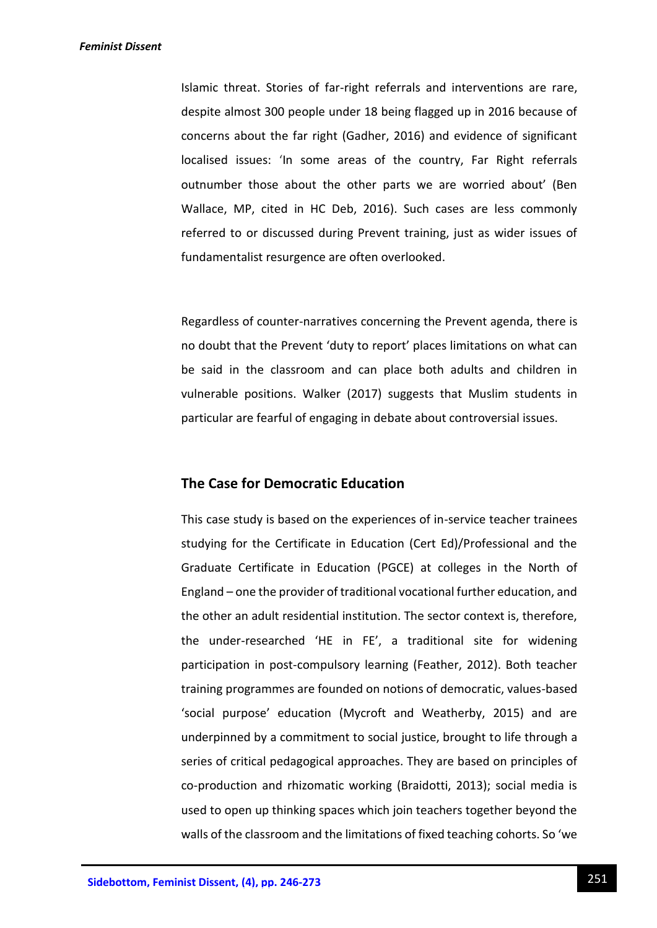Islamic threat. Stories of far-right referrals and interventions are rare, despite almost 300 people under 18 being flagged up in 2016 because of concerns about the far right (Gadher, 2016) and evidence of significant localised issues: 'In some areas of the country, Far Right referrals outnumber those about the other parts we are worried about' (Ben Wallace, MP, cited in HC Deb, 2016). Such cases are less commonly referred to or discussed during Prevent training, just as wider issues of fundamentalist resurgence are often overlooked.

Regardless of counter-narratives concerning the Prevent agenda, there is no doubt that the Prevent 'duty to report' places limitations on what can be said in the classroom and can place both adults and children in vulnerable positions. Walker (2017) suggests that Muslim students in particular are fearful of engaging in debate about controversial issues.

## **The Case for Democratic Education**

This case study is based on the experiences of in-service teacher trainees studying for the Certificate in Education (Cert Ed)/Professional and the Graduate Certificate in Education (PGCE) at colleges in the North of England – one the provider of traditional vocational further education, and the other an adult residential institution. The sector context is, therefore, the under-researched 'HE in FE', a traditional site for widening participation in post-compulsory learning (Feather, 2012). Both teacher training programmes are founded on notions of democratic, values-based 'social purpose' education (Mycroft and Weatherby, 2015) and are underpinned by a commitment to social justice, brought to life through a series of critical pedagogical approaches. They are based on principles of co-production and rhizomatic working (Braidotti, 2013); social media is used to open up thinking spaces which join teachers together beyond the walls of the classroom and the limitations of fixed teaching cohorts. So 'we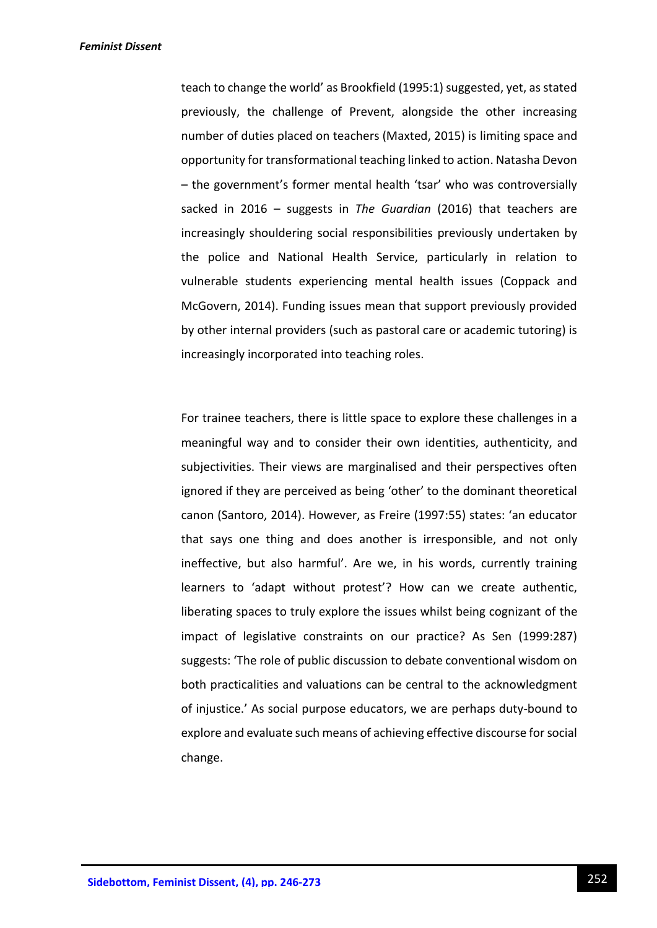teach to change the world' as Brookfield (1995:1) suggested, yet, as stated previously, the challenge of Prevent, alongside the other increasing number of duties placed on teachers (Maxted, 2015) is limiting space and opportunity for transformational teaching linked to action. Natasha Devon – the government's former mental health 'tsar' who was controversially sacked in 2016 – suggests in *The Guardian* (2016) that teachers are increasingly shouldering social responsibilities previously undertaken by the police and National Health Service, particularly in relation to vulnerable students experiencing mental health issues (Coppack and McGovern, 2014). Funding issues mean that support previously provided by other internal providers (such as pastoral care or academic tutoring) is increasingly incorporated into teaching roles.

For trainee teachers, there is little space to explore these challenges in a meaningful way and to consider their own identities, authenticity, and subjectivities. Their views are marginalised and their perspectives often ignored if they are perceived as being 'other' to the dominant theoretical canon (Santoro, 2014). However, as Freire (1997:55) states: 'an educator that says one thing and does another is irresponsible, and not only ineffective, but also harmful'. Are we, in his words, currently training learners to 'adapt without protest'? How can we create authentic, liberating spaces to truly explore the issues whilst being cognizant of the impact of legislative constraints on our practice? As Sen (1999:287) suggests: 'The role of public discussion to debate conventional wisdom on both practicalities and valuations can be central to the acknowledgment of injustice.' As social purpose educators, we are perhaps duty-bound to explore and evaluate such means of achieving effective discourse for social change.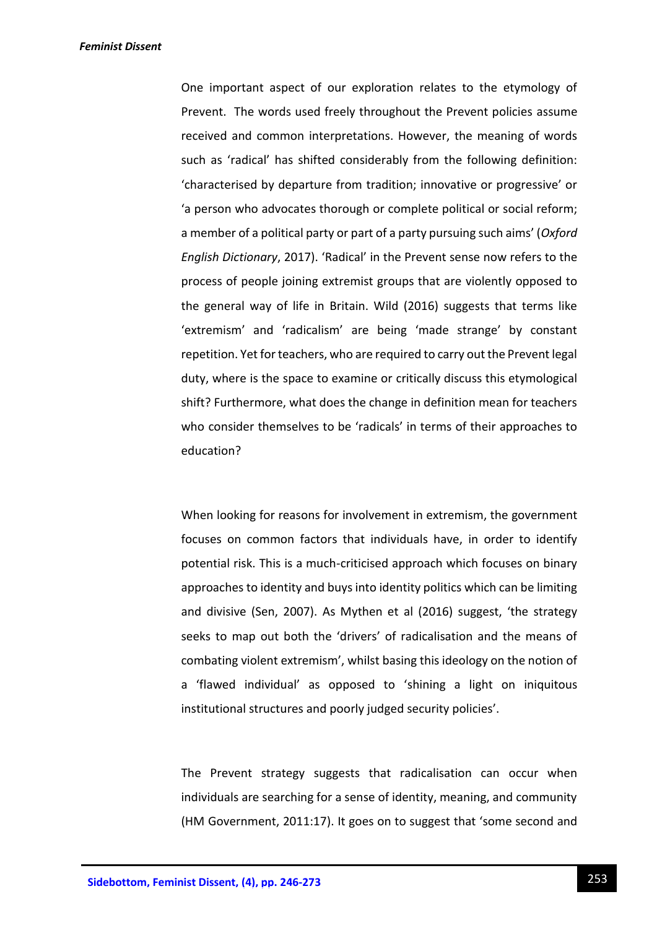One important aspect of our exploration relates to the etymology of Prevent. The words used freely throughout the Prevent policies assume received and common interpretations. However, the meaning of words such as 'radical' has shifted considerably from the following definition: 'characterised by departure from tradition; innovative or progressive' or 'a person who advocates thorough or complete political or social reform; a member of a political party or part of a party pursuing such aims' (*Oxford English Dictionary*, 2017). 'Radical' in the Prevent sense now refers to the process of people joining extremist groups that are violently opposed to the general way of life in Britain. Wild (2016) suggests that terms like 'extremism' and 'radicalism' are being 'made strange' by constant repetition. Yet for teachers, who are required to carry out the Prevent legal duty, where is the space to examine or critically discuss this etymological shift? Furthermore, what does the change in definition mean for teachers who consider themselves to be 'radicals' in terms of their approaches to education?

When looking for reasons for involvement in extremism, the government focuses on common factors that individuals have, in order to identify potential risk. This is a much-criticised approach which focuses on binary approaches to identity and buys into identity politics which can be limiting and divisive (Sen, 2007). As Mythen et al (2016) suggest, 'the strategy seeks to map out both the 'drivers' of radicalisation and the means of combating violent extremism', whilst basing this ideology on the notion of a 'flawed individual' as opposed to 'shining a light on iniquitous institutional structures and poorly judged security policies'.

The Prevent strategy suggests that radicalisation can occur when individuals are searching for a sense of identity, meaning, and community (HM Government, 2011:17). It goes on to suggest that 'some second and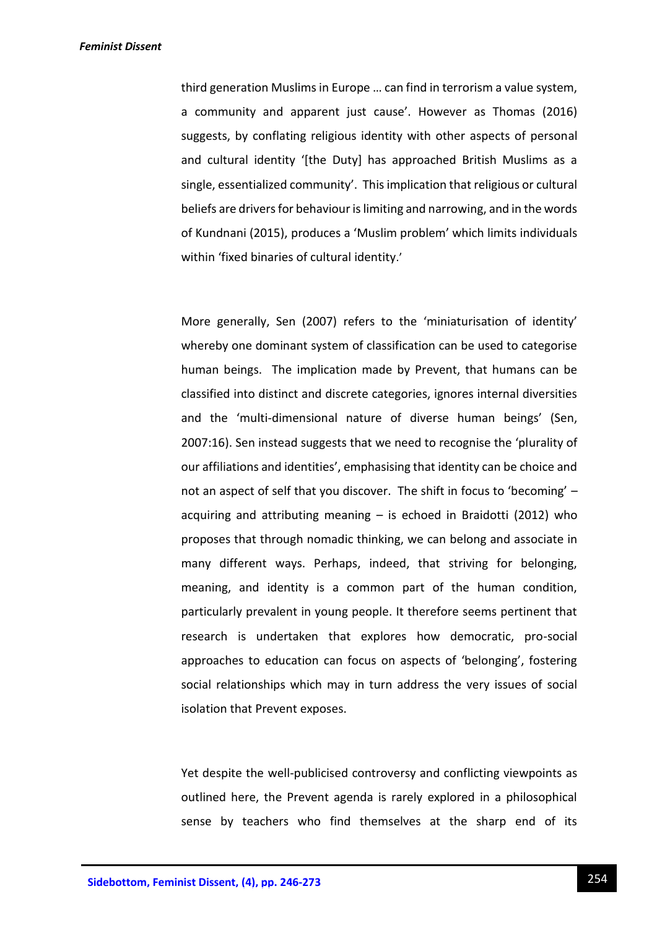third generation Muslims in Europe … can find in terrorism a value system, a community and apparent just cause'. However as Thomas (2016) suggests, by conflating religious identity with other aspects of personal and cultural identity '[the Duty] has approached British Muslims as a single, essentialized community'. This implication that religious or cultural beliefs are drivers for behaviour is limiting and narrowing, and in the words of Kundnani (2015), produces a 'Muslim problem' which limits individuals within 'fixed binaries of cultural identity.'

More generally, Sen (2007) refers to the 'miniaturisation of identity' whereby one dominant system of classification can be used to categorise human beings. The implication made by Prevent, that humans can be classified into distinct and discrete categories, ignores internal diversities and the 'multi-dimensional nature of diverse human beings' (Sen, 2007:16). Sen instead suggests that we need to recognise the 'plurality of our affiliations and identities', emphasising that identity can be choice and not an aspect of self that you discover. The shift in focus to 'becoming' – acquiring and attributing meaning  $-$  is echoed in Braidotti (2012) who proposes that through nomadic thinking, we can belong and associate in many different ways. Perhaps, indeed, that striving for belonging, meaning, and identity is a common part of the human condition, particularly prevalent in young people. It therefore seems pertinent that research is undertaken that explores how democratic, pro-social approaches to education can focus on aspects of 'belonging', fostering social relationships which may in turn address the very issues of social isolation that Prevent exposes.

Yet despite the well-publicised controversy and conflicting viewpoints as outlined here, the Prevent agenda is rarely explored in a philosophical sense by teachers who find themselves at the sharp end of its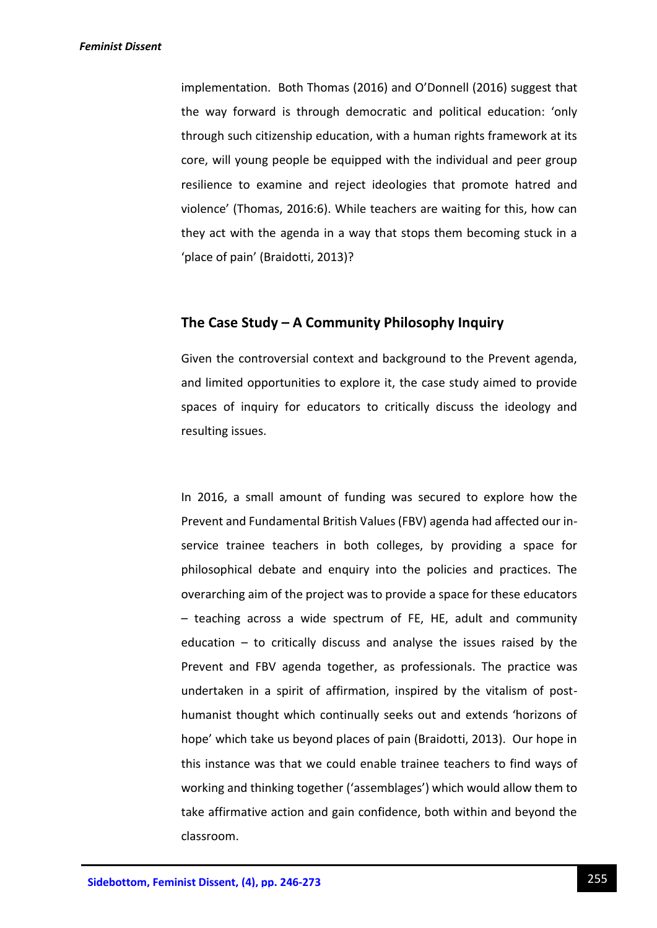implementation. Both Thomas (2016) and O'Donnell (2016) suggest that the way forward is through democratic and political education: 'only through such citizenship education, with a human rights framework at its core, will young people be equipped with the individual and peer group resilience to examine and reject ideologies that promote hatred and violence' (Thomas, 2016:6). While teachers are waiting for this, how can they act with the agenda in a way that stops them becoming stuck in a 'place of pain' (Braidotti, 2013)?

## **The Case Study – A Community Philosophy Inquiry**

Given the controversial context and background to the Prevent agenda, and limited opportunities to explore it, the case study aimed to provide spaces of inquiry for educators to critically discuss the ideology and resulting issues.

In 2016, a small amount of funding was secured to explore how the Prevent and Fundamental British Values (FBV) agenda had affected our inservice trainee teachers in both colleges, by providing a space for philosophical debate and enquiry into the policies and practices. The overarching aim of the project was to provide a space for these educators – teaching across a wide spectrum of FE, HE, adult and community education  $-$  to critically discuss and analyse the issues raised by the Prevent and FBV agenda together, as professionals. The practice was undertaken in a spirit of affirmation, inspired by the vitalism of posthumanist thought which continually seeks out and extends 'horizons of hope' which take us beyond places of pain (Braidotti, 2013). Our hope in this instance was that we could enable trainee teachers to find ways of working and thinking together ('assemblages') which would allow them to take affirmative action and gain confidence, both within and beyond the classroom.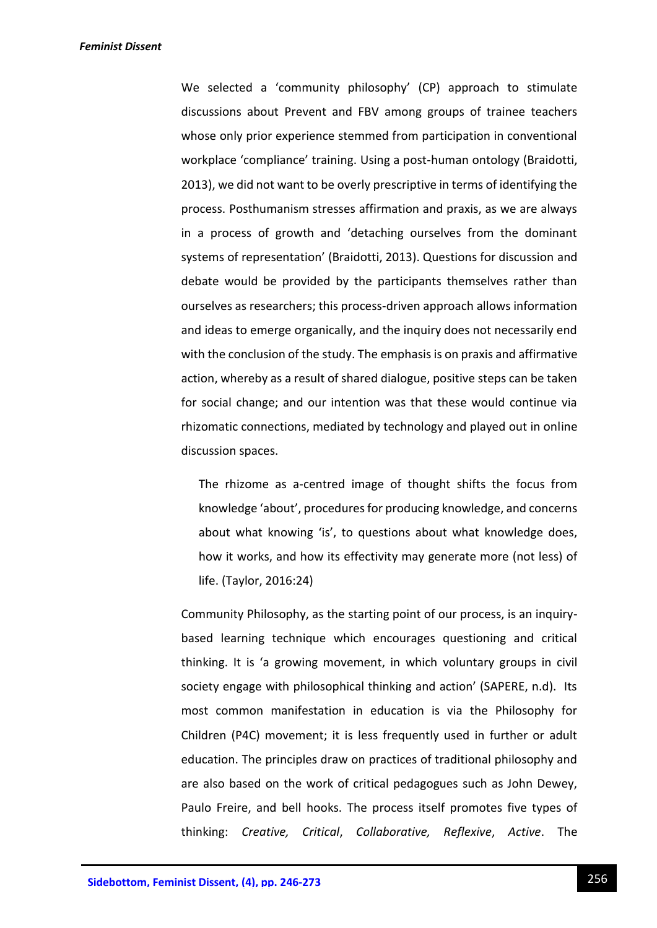We selected a 'community philosophy' (CP) approach to stimulate discussions about Prevent and FBV among groups of trainee teachers whose only prior experience stemmed from participation in conventional workplace 'compliance' training. Using a post-human ontology (Braidotti, 2013), we did not want to be overly prescriptive in terms of identifying the process. Posthumanism stresses affirmation and praxis, as we are always in a process of growth and 'detaching ourselves from the dominant systems of representation' (Braidotti, 2013). Questions for discussion and debate would be provided by the participants themselves rather than ourselves as researchers; this process-driven approach allows information and ideas to emerge organically, and the inquiry does not necessarily end with the conclusion of the study. The emphasis is on praxis and affirmative action, whereby as a result of shared dialogue, positive steps can be taken for social change; and our intention was that these would continue via rhizomatic connections, mediated by technology and played out in online discussion spaces.

The rhizome as a-centred image of thought shifts the focus from knowledge 'about', procedures for producing knowledge, and concerns about what knowing 'is', to questions about what knowledge does, how it works, and how its effectivity may generate more (not less) of life. (Taylor, 2016:24)

Community Philosophy, as the starting point of our process, is an inquirybased learning technique which encourages questioning and critical thinking. It is 'a growing movement, in which voluntary groups in civil society engage with philosophical thinking and action' (SAPERE, n.d). Its most common manifestation in education is via the Philosophy for Children (P4C) movement; it is less frequently used in further or adult education. The principles draw on practices of traditional philosophy and are also based on the work of critical pedagogues such as John Dewey, Paulo Freire, and bell hooks. The process itself promotes five types of thinking: *Creative, Critical*, *Collaborative, Reflexive*, *Active*. The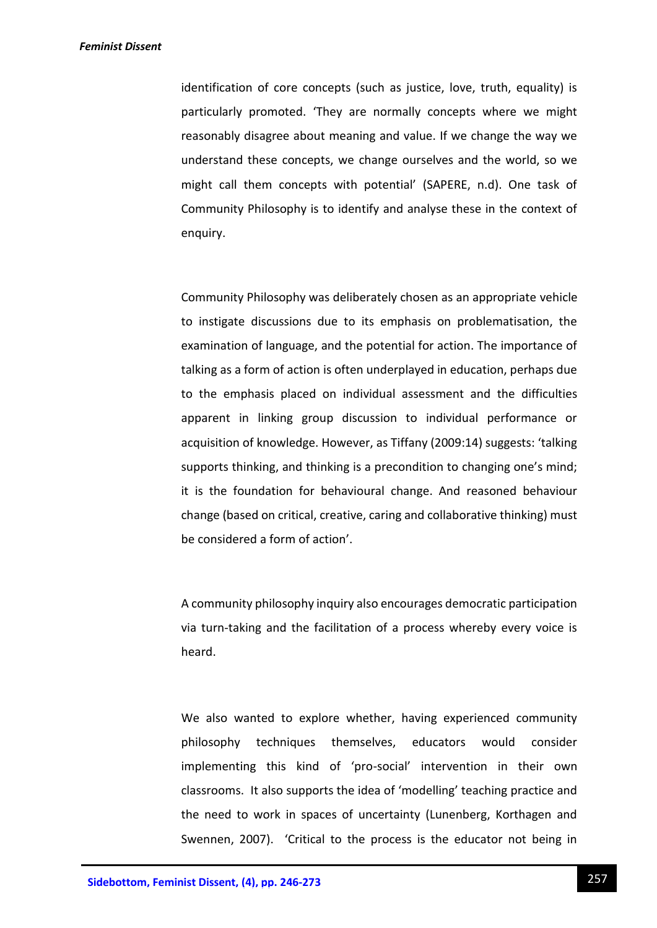identification of core concepts (such as justice, love, truth, equality) is particularly promoted. 'They are normally concepts where we might reasonably disagree about meaning and value. If we change the way we understand these concepts, we change ourselves and the world, so we might call them concepts with potential' (SAPERE, n.d). One task of Community Philosophy is to identify and analyse these in the context of enquiry.

Community Philosophy was deliberately chosen as an appropriate vehicle to instigate discussions due to its emphasis on problematisation, the examination of language, and the potential for action. The importance of talking as a form of action is often underplayed in education, perhaps due to the emphasis placed on individual assessment and the difficulties apparent in linking group discussion to individual performance or acquisition of knowledge. However, as Tiffany (2009:14) suggests: 'talking supports thinking, and thinking is a precondition to changing one's mind; it is the foundation for behavioural change. And reasoned behaviour change (based on critical, creative, caring and collaborative thinking) must be considered a form of action'.

A community philosophy inquiry also encourages democratic participation via turn-taking and the facilitation of a process whereby every voice is heard.

We also wanted to explore whether, having experienced community philosophy techniques themselves, educators would consider implementing this kind of 'pro-social' intervention in their own classrooms. It also supports the idea of 'modelling' teaching practice and the need to work in spaces of uncertainty (Lunenberg, Korthagen and Swennen, 2007). 'Critical to the process is the educator not being in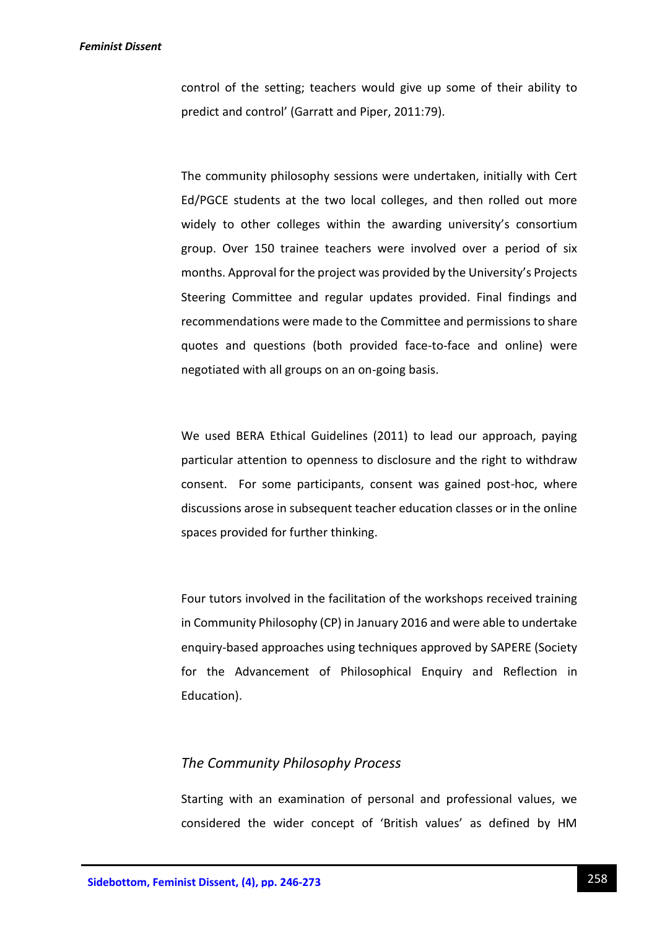control of the setting; teachers would give up some of their ability to predict and control' (Garratt and Piper, 2011:79).

The community philosophy sessions were undertaken, initially with Cert Ed/PGCE students at the two local colleges, and then rolled out more widely to other colleges within the awarding university's consortium group. Over 150 trainee teachers were involved over a period of six months. Approval for the project was provided by the University's Projects Steering Committee and regular updates provided. Final findings and recommendations were made to the Committee and permissions to share quotes and questions (both provided face-to-face and online) were negotiated with all groups on an on-going basis.

We used BERA Ethical Guidelines (2011) to lead our approach, paying particular attention to openness to disclosure and the right to withdraw consent. For some participants, consent was gained post-hoc, where discussions arose in subsequent teacher education classes or in the online spaces provided for further thinking.

Four tutors involved in the facilitation of the workshops received training in Community Philosophy (CP) in January 2016 and were able to undertake enquiry-based approaches using techniques approved by SAPERE (Society for the Advancement of Philosophical Enquiry and Reflection in Education).

## *The Community Philosophy Process*

Starting with an examination of personal and professional values, we considered the wider concept of 'British values' as defined by HM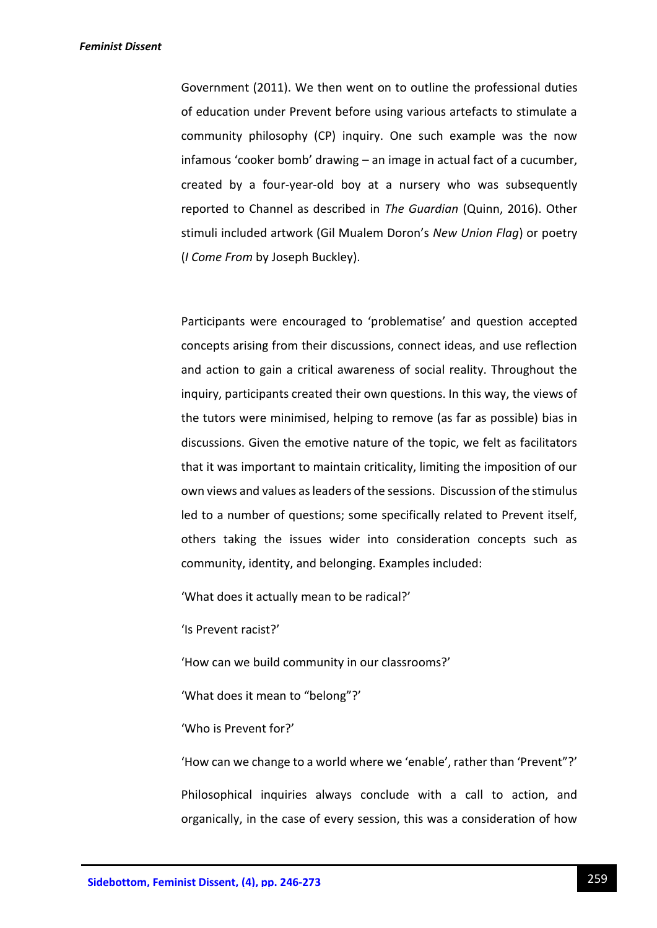Government (2011). We then went on to outline the professional duties of education under Prevent before using various artefacts to stimulate a community philosophy (CP) inquiry. One such example was the now infamous 'cooker bomb' drawing – an image in actual fact of a cucumber, created by a four-year-old boy at a nursery who was subsequently reported to Channel as described in *The Guardian* (Quinn, 2016). Other stimuli included artwork (Gil Mualem Doron's *New Union Flag*) or poetry (*I Come From* by Joseph Buckley).

Participants were encouraged to 'problematise' and question accepted concepts arising from their discussions, connect ideas, and use reflection and action to gain a critical awareness of social reality. Throughout the inquiry, participants created their own questions. In this way, the views of the tutors were minimised, helping to remove (as far as possible) bias in discussions. Given the emotive nature of the topic, we felt as facilitators that it was important to maintain criticality, limiting the imposition of our own views and values as leaders of the sessions. Discussion of the stimulus led to a number of questions; some specifically related to Prevent itself, others taking the issues wider into consideration concepts such as community, identity, and belonging. Examples included:

'What does it actually mean to be radical?'

'Is Prevent racist?'

'How can we build community in our classrooms?'

'What does it mean to "belong"?'

'Who is Prevent for?'

'How can we change to a world where we 'enable', rather than 'Prevent"?' Philosophical inquiries always conclude with a call to action, and organically, in the case of every session, this was a consideration of how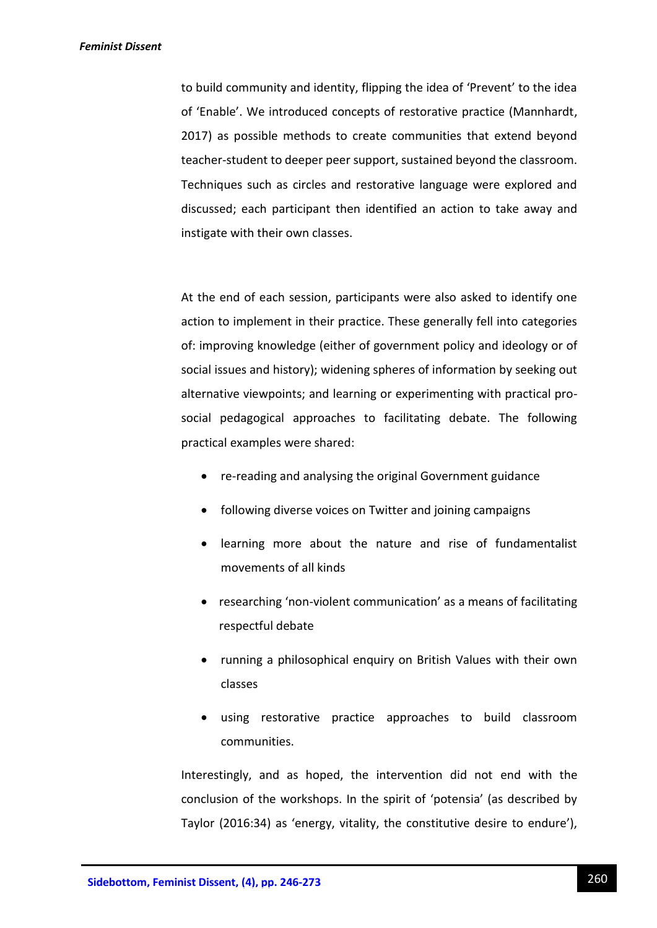to build community and identity, flipping the idea of 'Prevent' to the idea of 'Enable'. We introduced concepts of restorative practice (Mannhardt, 2017) as possible methods to create communities that extend beyond teacher-student to deeper peer support, sustained beyond the classroom. Techniques such as circles and restorative language were explored and discussed; each participant then identified an action to take away and instigate with their own classes.

At the end of each session, participants were also asked to identify one action to implement in their practice. These generally fell into categories of: improving knowledge (either of government policy and ideology or of social issues and history); widening spheres of information by seeking out alternative viewpoints; and learning or experimenting with practical prosocial pedagogical approaches to facilitating debate. The following practical examples were shared:

- re-reading and analysing the original Government guidance
- following diverse voices on Twitter and joining campaigns
- learning more about the nature and rise of fundamentalist movements of all kinds
- researching 'non-violent communication' as a means of facilitating respectful debate
- running a philosophical enquiry on British Values with their own classes
- using restorative practice approaches to build classroom communities.

Interestingly, and as hoped, the intervention did not end with the conclusion of the workshops. In the spirit of 'potensia' (as described by Taylor (2016:34) as 'energy, vitality, the constitutive desire to endure'),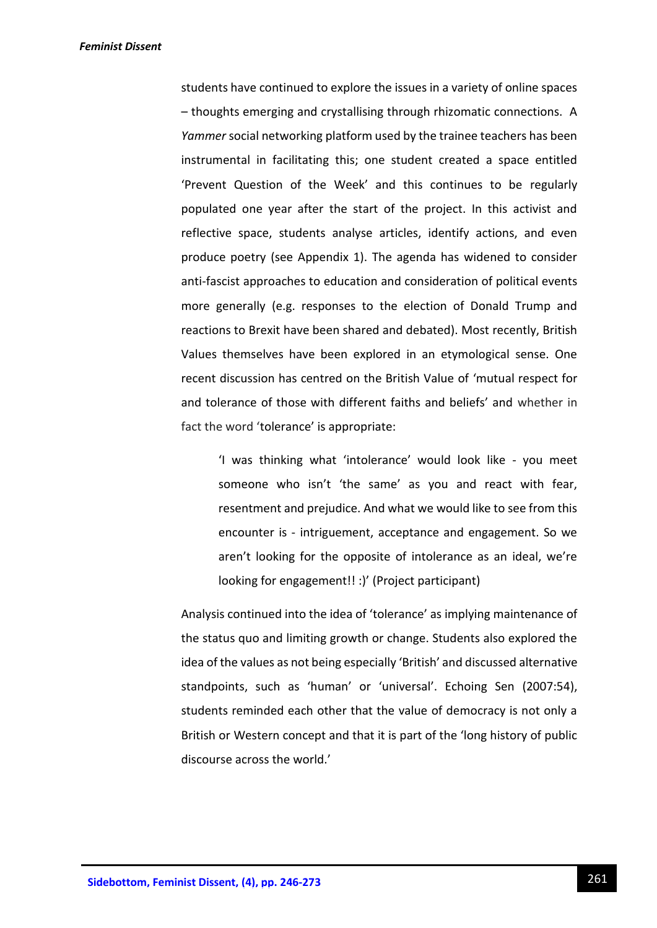students have continued to explore the issues in a variety of online spaces – thoughts emerging and crystallising through rhizomatic connections. A *Yammer* social networking platform used by the trainee teachers has been instrumental in facilitating this; one student created a space entitled 'Prevent Question of the Week' and this continues to be regularly populated one year after the start of the project. In this activist and reflective space, students analyse articles, identify actions, and even produce poetry (see Appendix 1). The agenda has widened to consider anti-fascist approaches to education and consideration of political events more generally (e.g. responses to the election of Donald Trump and reactions to Brexit have been shared and debated). Most recently, British Values themselves have been explored in an etymological sense. One recent discussion has centred on the British Value of 'mutual respect for and tolerance of those with different faiths and beliefs' and whether in fact the word 'tolerance' is appropriate:

'I was thinking what 'intolerance' would look like - you meet someone who isn't 'the same' as you and react with fear, resentment and prejudice. And what we would like to see from this encounter is - intriguement, acceptance and engagement. So we aren't looking for the opposite of intolerance as an ideal, we're looking for engagement!! :)' (Project participant)

Analysis continued into the idea of 'tolerance' as implying maintenance of the status quo and limiting growth or change. Students also explored the idea of the values as not being especially 'British' and discussed alternative standpoints, such as 'human' or 'universal'. Echoing Sen (2007:54), students reminded each other that the value of democracy is not only a British or Western concept and that it is part of the 'long history of public discourse across the world.'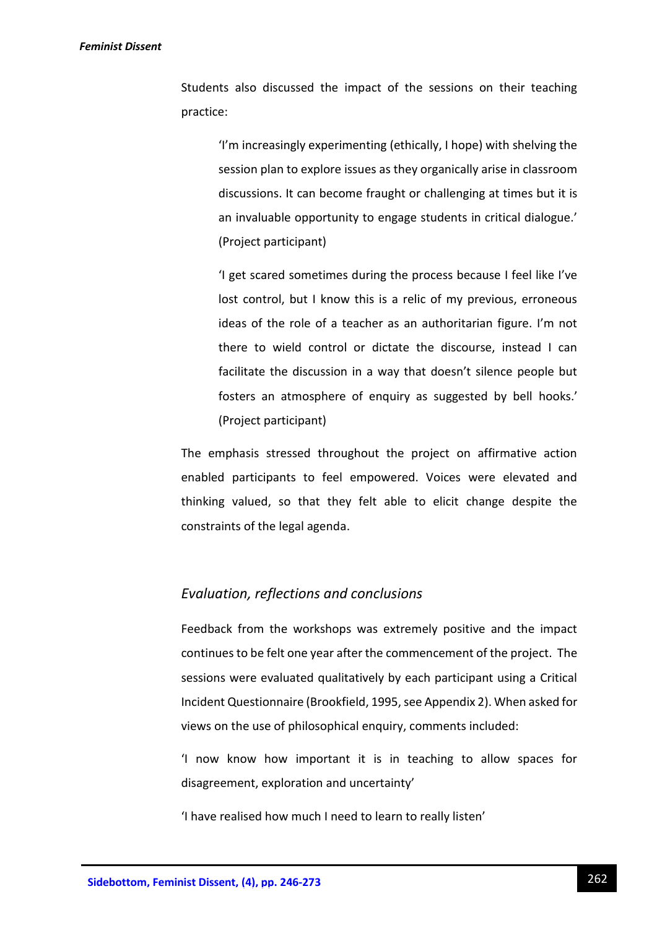Students also discussed the impact of the sessions on their teaching practice:

> 'I'm increasingly experimenting (ethically, I hope) with shelving the session plan to explore issues as they organically arise in classroom discussions. It can become fraught or challenging at times but it is an invaluable opportunity to engage students in critical dialogue.' (Project participant)

> 'I get scared sometimes during the process because I feel like I've lost control, but I know this is a relic of my previous, erroneous ideas of the role of a teacher as an authoritarian figure. I'm not there to wield control or dictate the discourse, instead I can facilitate the discussion in a way that doesn't silence people but fosters an atmosphere of enquiry as suggested by bell hooks.' (Project participant)

The emphasis stressed throughout the project on affirmative action enabled participants to feel empowered. Voices were elevated and thinking valued, so that they felt able to elicit change despite the constraints of the legal agenda.

## *Evaluation, reflections and conclusions*

Feedback from the workshops was extremely positive and the impact continues to be felt one year after the commencement of the project. The sessions were evaluated qualitatively by each participant using a Critical Incident Questionnaire (Brookfield, 1995, see Appendix 2). When asked for views on the use of philosophical enquiry, comments included:

'I now know how important it is in teaching to allow spaces for disagreement, exploration and uncertainty'

'I have realised how much I need to learn to really listen'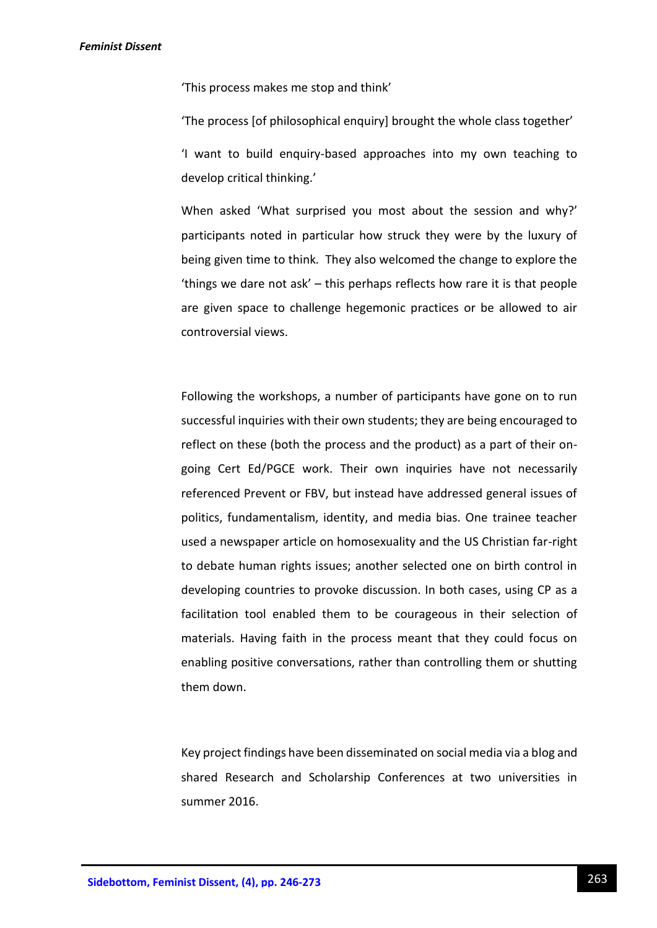'This process makes me stop and think'

'The process [of philosophical enquiry] brought the whole class together' 'I want to build enquiry-based approaches into my own teaching to develop critical thinking.'

When asked 'What surprised you most about the session and why?' participants noted in particular how struck they were by the luxury of being given time to think. They also welcomed the change to explore the 'things we dare not ask' – this perhaps reflects how rare it is that people are given space to challenge hegemonic practices or be allowed to air controversial views.

Following the workshops, a number of participants have gone on to run successful inquiries with their own students; they are being encouraged to reflect on these (both the process and the product) as a part of their ongoing Cert Ed/PGCE work. Their own inquiries have not necessarily referenced Prevent or FBV, but instead have addressed general issues of politics, fundamentalism, identity, and media bias. One trainee teacher used a newspaper article on homosexuality and the US Christian far-right to debate human rights issues; another selected one on birth control in developing countries to provoke discussion. In both cases, using CP as a facilitation tool enabled them to be courageous in their selection of materials. Having faith in the process meant that they could focus on enabling positive conversations, rather than controlling them or shutting them down.

Key project findings have been disseminated on social media via a blog and shared Research and Scholarship Conferences at two universities in summer 2016.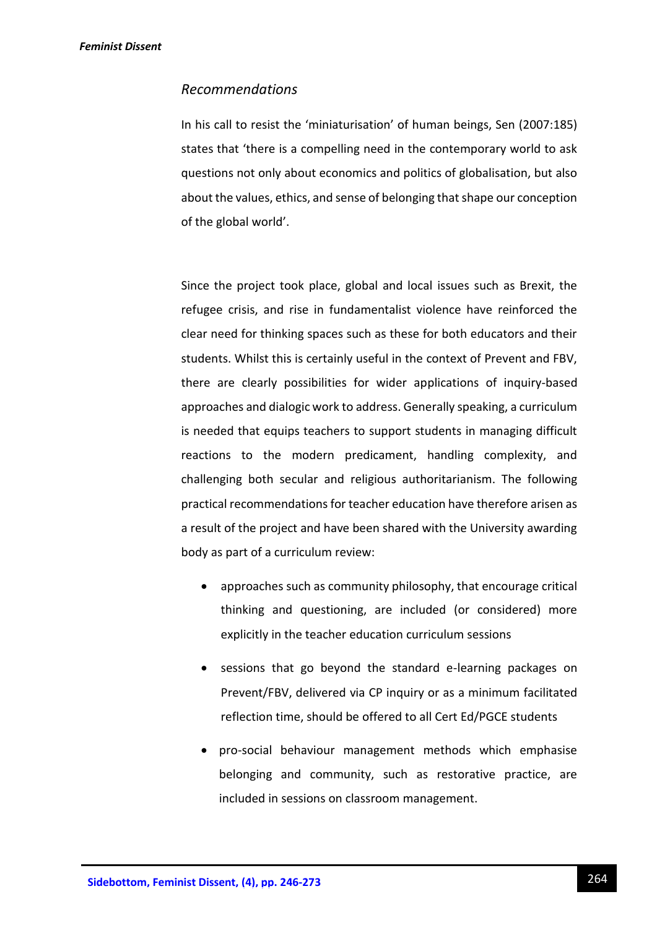## *Recommendations*

In his call to resist the 'miniaturisation' of human beings, Sen (2007:185) states that 'there is a compelling need in the contemporary world to ask questions not only about economics and politics of globalisation, but also about the values, ethics, and sense of belonging that shape our conception of the global world'.

Since the project took place, global and local issues such as Brexit, the refugee crisis, and rise in fundamentalist violence have reinforced the clear need for thinking spaces such as these for both educators and their students. Whilst this is certainly useful in the context of Prevent and FBV, there are clearly possibilities for wider applications of inquiry-based approaches and dialogic work to address. Generally speaking, a curriculum is needed that equips teachers to support students in managing difficult reactions to the modern predicament, handling complexity, and challenging both secular and religious authoritarianism. The following practical recommendations for teacher education have therefore arisen as a result of the project and have been shared with the University awarding body as part of a curriculum review:

- approaches such as community philosophy, that encourage critical thinking and questioning, are included (or considered) more explicitly in the teacher education curriculum sessions
- sessions that go beyond the standard e-learning packages on Prevent/FBV, delivered via CP inquiry or as a minimum facilitated reflection time, should be offered to all Cert Ed/PGCE students
- pro-social behaviour management methods which emphasise belonging and community, such as restorative practice, are included in sessions on classroom management.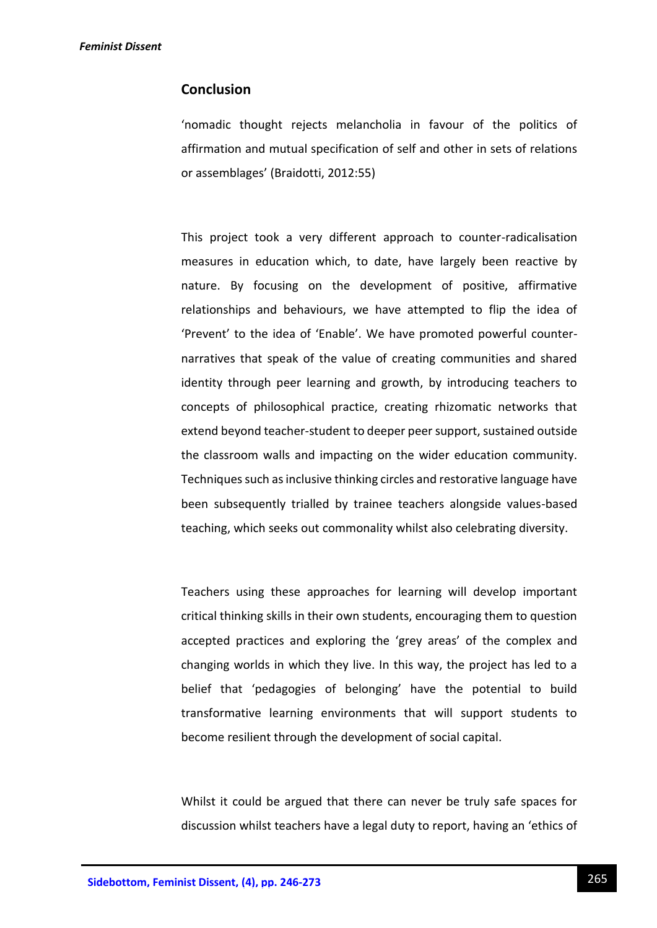## **Conclusion**

'nomadic thought rejects melancholia in favour of the politics of affirmation and mutual specification of self and other in sets of relations or assemblages' (Braidotti, 2012:55)

This project took a very different approach to counter-radicalisation measures in education which, to date, have largely been reactive by nature. By focusing on the development of positive, affirmative relationships and behaviours, we have attempted to flip the idea of 'Prevent' to the idea of 'Enable'. We have promoted powerful counternarratives that speak of the value of creating communities and shared identity through peer learning and growth, by introducing teachers to concepts of philosophical practice, creating rhizomatic networks that extend beyond teacher-student to deeper peer support, sustained outside the classroom walls and impacting on the wider education community. Techniques such as inclusive thinking circles and restorative language have been subsequently trialled by trainee teachers alongside values-based teaching, which seeks out commonality whilst also celebrating diversity.

Teachers using these approaches for learning will develop important critical thinking skills in their own students, encouraging them to question accepted practices and exploring the 'grey areas' of the complex and changing worlds in which they live. In this way, the project has led to a belief that 'pedagogies of belonging' have the potential to build transformative learning environments that will support students to become resilient through the development of social capital.

Whilst it could be argued that there can never be truly safe spaces for discussion whilst teachers have a legal duty to report, having an 'ethics of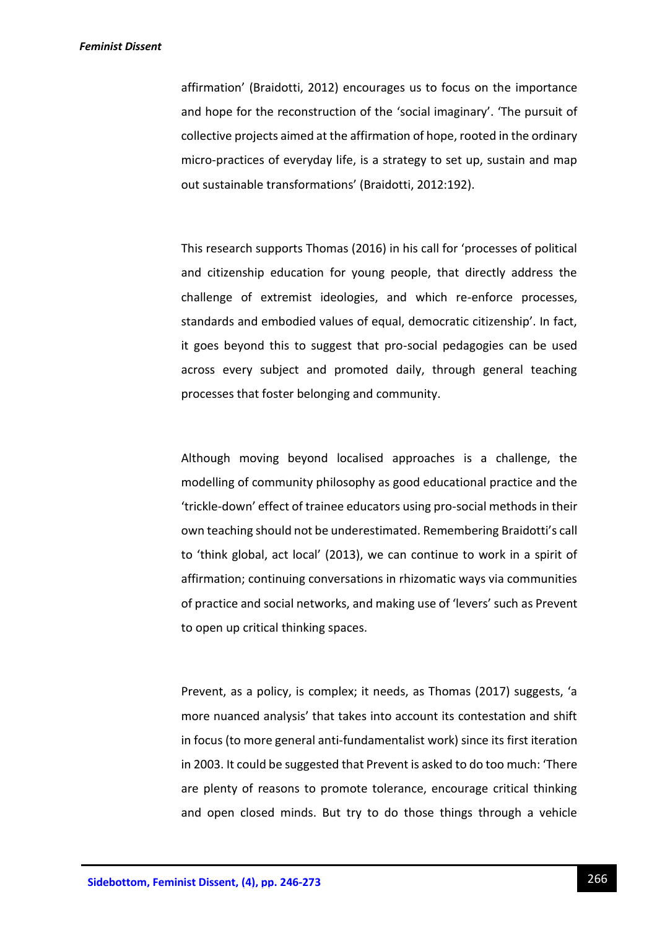affirmation' (Braidotti, 2012) encourages us to focus on the importance and hope for the reconstruction of the 'social imaginary'. 'The pursuit of collective projects aimed at the affirmation of hope, rooted in the ordinary micro-practices of everyday life, is a strategy to set up, sustain and map out sustainable transformations' (Braidotti, 2012:192).

This research supports Thomas (2016) in his call for 'processes of political and citizenship education for young people, that directly address the challenge of extremist ideologies, and which re-enforce processes, standards and embodied values of equal, democratic citizenship'. In fact, it goes beyond this to suggest that pro-social pedagogies can be used across every subject and promoted daily, through general teaching processes that foster belonging and community.

Although moving beyond localised approaches is a challenge, the modelling of community philosophy as good educational practice and the 'trickle-down' effect of trainee educators using pro-social methods in their own teaching should not be underestimated. Remembering Braidotti's call to 'think global, act local' (2013), we can continue to work in a spirit of affirmation; continuing conversations in rhizomatic ways via communities of practice and social networks, and making use of 'levers' such as Prevent to open up critical thinking spaces.

Prevent, as a policy, is complex; it needs, as Thomas (2017) suggests, 'a more nuanced analysis' that takes into account its contestation and shift in focus (to more general anti-fundamentalist work) since its first iteration in 2003. It could be suggested that Prevent is asked to do too much: 'There are plenty of reasons to promote tolerance, encourage critical thinking and open closed minds. But try to do those things through a vehicle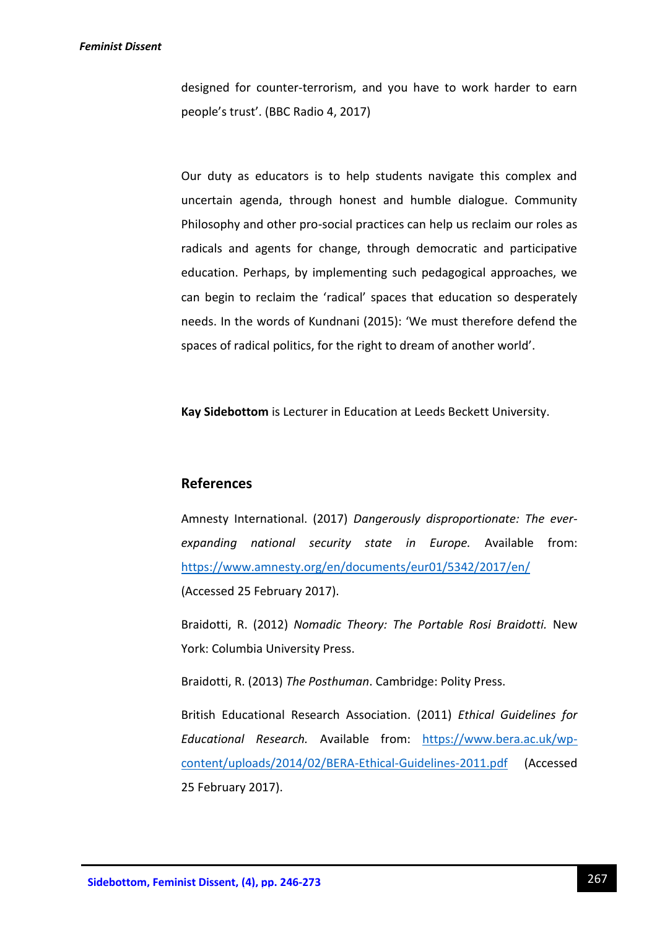designed for counter-terrorism, and you have to work harder to earn people's trust'. (BBC Radio 4, 2017)

Our duty as educators is to help students navigate this complex and uncertain agenda, through honest and humble dialogue. Community Philosophy and other pro-social practices can help us reclaim our roles as radicals and agents for change, through democratic and participative education. Perhaps, by implementing such pedagogical approaches, we can begin to reclaim the 'radical' spaces that education so desperately needs. In the words of Kundnani (2015): 'We must therefore defend the spaces of radical politics, for the right to dream of another world'.

**Kay Sidebottom** is Lecturer in Education at Leeds Beckett University.

## **References**

Amnesty International. (2017) *Dangerously disproportionate: The everexpanding national security state in Europe.* Available from: <https://www.amnesty.org/en/documents/eur01/5342/2017/en/> (Accessed 25 February 2017).

Braidotti, R. (2012) *Nomadic Theory: The Portable Rosi Braidotti.* New York: Columbia University Press.

Braidotti, R. (2013) *The Posthuman*. Cambridge: Polity Press.

British Educational Research Association. (2011) *Ethical Guidelines for Educational Research.* Available from: [https://www.bera.ac.uk/wp](https://www.bera.ac.uk/wp-content/uploads/2014/02/BERA-Ethical-Guidelines-2011.pdf)[content/uploads/2014/02/BERA-Ethical-Guidelines-2011.pdf](https://www.bera.ac.uk/wp-content/uploads/2014/02/BERA-Ethical-Guidelines-2011.pdf) (Accessed 25 February 2017).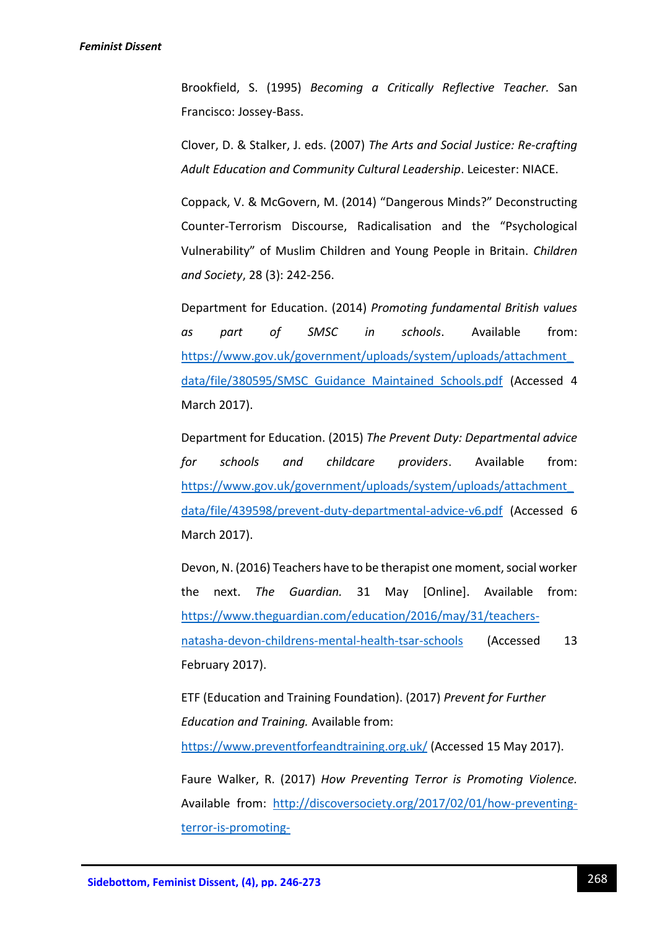Brookfield, S. (1995) *Becoming a Critically Reflective Teacher.* San Francisco: Jossey-Bass.

Clover, D. & Stalker, J. eds. (2007) *The Arts and Social Justice: Re-crafting Adult Education and Community Cultural Leadership*. Leicester: NIACE.

Coppack, V. & McGovern, M. (2014) "Dangerous Minds?" Deconstructing Counter-Terrorism Discourse, Radicalisation and the "Psychological Vulnerability" of Muslim Children and Young People in Britain. *Children and Society*, 28 (3): 242-256.

Department for Education. (2014) *Promoting fundamental British values as part of SMSC in schools*. Available from: [https://www.gov.uk/government/uploads/system/uploads/attachment\\_](https://www.gov.uk/government/uploads/system/uploads/attachment_data/file/380595/SMSC_Guidance_Maintained_Schools.pdf) [data/file/380595/SMSC\\_Guidance\\_Maintained\\_Schools.pdf](https://www.gov.uk/government/uploads/system/uploads/attachment_data/file/380595/SMSC_Guidance_Maintained_Schools.pdf) (Accessed 4 March 2017).

Department for Education. (2015) *The Prevent Duty: Departmental advice for schools and childcare providers*. Available from: [https://www.gov.uk/government/uploads/system/uploads/attachment\\_](https://www.gov.uk/government/uploads/system/uploads/attachment_data/file/439598/prevent-duty-departmental-advice-v6.pdf) [data/file/439598/prevent-duty-departmental-advice-v6.pdf](https://www.gov.uk/government/uploads/system/uploads/attachment_data/file/439598/prevent-duty-departmental-advice-v6.pdf) (Accessed 6 March 2017).

Devon, N. (2016) Teachers have to be therapist one moment, social worker the next. *The Guardian.* 31 May [Online]. Available from: [https://www.theguardian.com/education/2016/may/31/teachers](https://www.theguardian.com/education/2016/may/31/teachers-natasha-devon-childrens-mental-health-tsar-schools)[natasha-devon-childrens-mental-health-tsar-schools](https://www.theguardian.com/education/2016/may/31/teachers-natasha-devon-childrens-mental-health-tsar-schools) (Accessed 13 February 2017).

ETF (Education and Training Foundation). (2017) *Prevent for Further Education and Training.* Available from:

<https://www.preventforfeandtraining.org.uk/> (Accessed 15 May 2017).

Faure Walker, R. (2017) *How Preventing Terror is Promoting Violence.*  Available from: [http://discoversociety.org/2017/02/01/how-preventing](http://discoversociety.org/2017/02/01/how-preventing-terror-is-promoting-violence/?utm_content=bufferc0814&utm_medium=social&utm_source=twitter.com&utm_campaign=buffer)[terror-is-promoting-](http://discoversociety.org/2017/02/01/how-preventing-terror-is-promoting-violence/?utm_content=bufferc0814&utm_medium=social&utm_source=twitter.com&utm_campaign=buffer)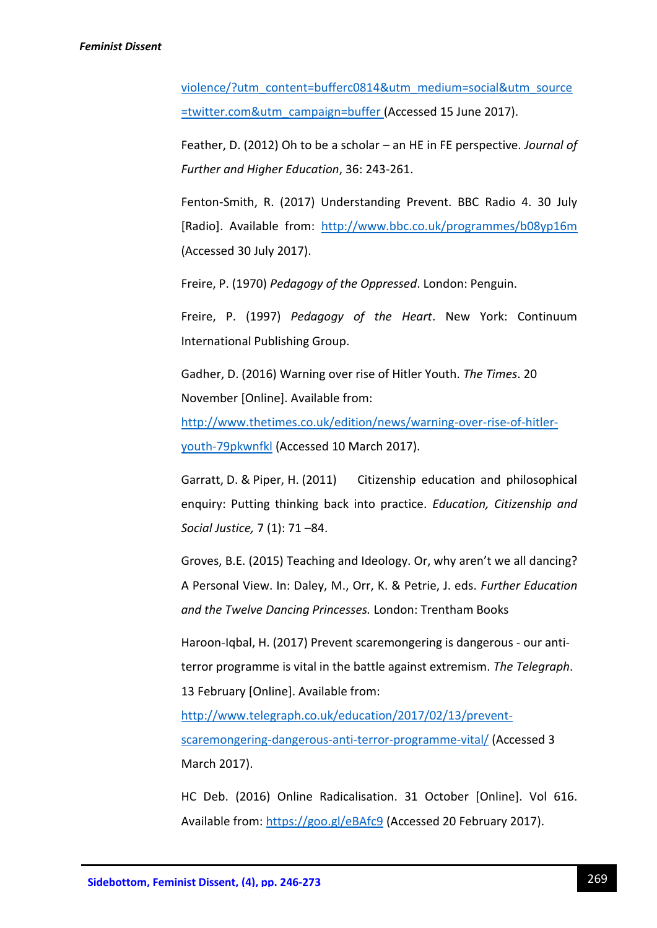[violence/?utm\\_content=bufferc0814&utm\\_medium=social&utm\\_source](http://discoversociety.org/2017/02/01/how-preventing-terror-is-promoting-violence/?utm_content=bufferc0814&utm_medium=social&utm_source=twitter.com&utm_campaign=buffer) [=twitter.com&utm\\_campaign=buffer](http://discoversociety.org/2017/02/01/how-preventing-terror-is-promoting-violence/?utm_content=bufferc0814&utm_medium=social&utm_source=twitter.com&utm_campaign=buffer) (Accessed 15 June 2017).

Feather, D. (2012) Oh to be a scholar – an HE in FE perspective. *Journal of Further and Higher Education*, 36: 243-261.

Fenton-Smith, R. (2017) Understanding Prevent. BBC Radio 4. 30 July [Radio]. Available from: <http://www.bbc.co.uk/programmes/b08yp16m> (Accessed 30 July 2017).

Freire, P. (1970) *Pedagogy of the Oppressed*. London: Penguin.

Freire, P. (1997) *Pedagogy of the Heart*. New York: Continuum International Publishing Group.

Gadher, D. (2016) Warning over rise of Hitler Youth. *The Times*. 20 November [Online]. Available from:

[http://www.thetimes.co.uk/edition/news/warning-over-rise-of-hitler](http://www.thetimes.co.uk/edition/news/warning-over-rise-of-hitler-youth-79pkwnfkl)[youth-79pkwnfkl](http://www.thetimes.co.uk/edition/news/warning-over-rise-of-hitler-youth-79pkwnfkl) (Accessed 10 March 2017).

Garratt, D. & Piper, H. (2011) Citizenship education and philosophical enquiry: Putting thinking back into practice. *Education, Citizenship and Social Justice,* 7 (1): 71 –84.

Groves, B.E. (2015) Teaching and Ideology. Or, why aren't we all dancing? A Personal View. In: Daley, M., Orr, K. & Petrie, J. eds. *Further Education and the Twelve Dancing Princesses.* London: Trentham Books

Haroon-Iqbal, H. (2017) Prevent scaremongering is dangerous - our antiterror programme is vital in the battle against extremism. *The Telegraph*. 13 February [Online]. Available from:

[http://www.telegraph.co.uk/education/2017/02/13/prevent](http://www.telegraph.co.uk/education/2017/02/13/prevent-scaremongering-dangerous-anti-terror-programme-vital/)[scaremongering-dangerous-anti-terror-programme-vital/](http://www.telegraph.co.uk/education/2017/02/13/prevent-scaremongering-dangerous-anti-terror-programme-vital/) (Accessed 3 March 2017).

HC Deb. (2016) Online Radicalisation. 31 October [Online]. Vol 616. Available from:<https://goo.gl/eBAfc9> (Accessed 20 February 2017).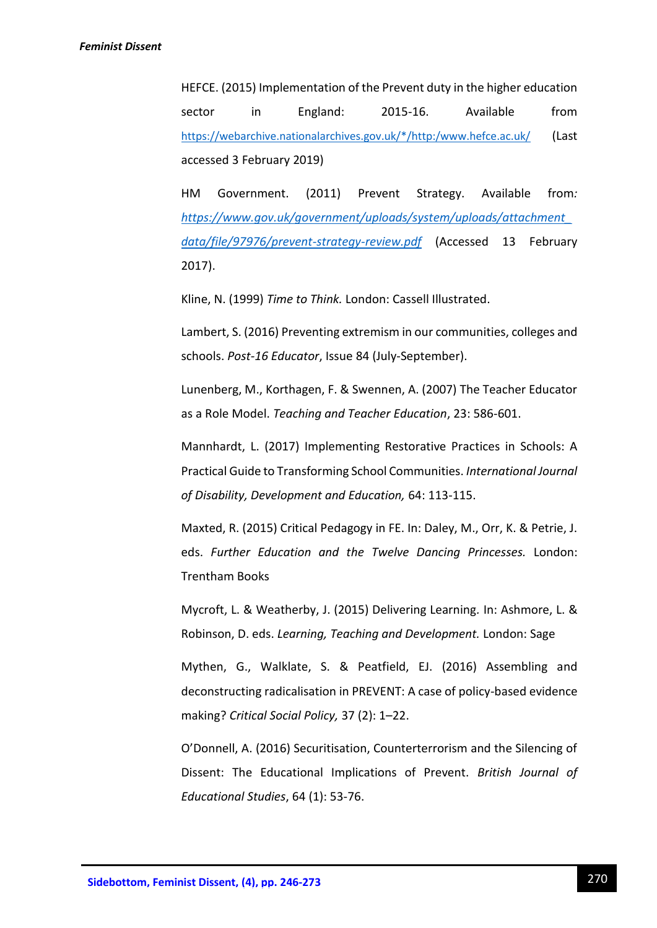HEFCE. (2015) Implementation of the Prevent duty in the higher education sector in England: 2015-16. Available from [https://webarchive.nationalarchives.gov.uk/\\*/http:/www.hefce.ac.uk/](https://webarchive.nationalarchives.gov.uk/*/http:/www.hefce.ac.uk/) (Last accessed 3 February 2019)

HM Government. (2011) Prevent Strategy. Available from*: [https://www.gov.uk/government/uploads/system/uploads/attachment\\_](https://www.gov.uk/government/uploads/system/uploads/attachment_data/file/97976/prevent-strategy-review.pdf) [data/file/97976/prevent-strategy-review.pdf](https://www.gov.uk/government/uploads/system/uploads/attachment_data/file/97976/prevent-strategy-review.pdf)* (Accessed 13 February 2017).

Kline, N. (1999) *Time to Think.* London: Cassell Illustrated.

Lambert, S. (2016) Preventing extremism in our communities, colleges and schools. *Post-16 Educator*, Issue 84 (July-September).

Lunenberg, M., Korthagen, F. & Swennen, A. (2007) The Teacher Educator as a Role Model. *Teaching and Teacher Education*, 23: 586-601.

Mannhardt, L. (2017) Implementing Restorative Practices in Schools: A Practical Guide to Transforming School Communities. *International Journal of Disability, Development and Education,* 64: 113-115.

Maxted, R. (2015) Critical Pedagogy in FE. In: Daley, M., Orr, K. & Petrie, J. eds. *Further Education and the Twelve Dancing Princesses.* London: Trentham Books

Mycroft, L. & Weatherby, J. (2015) Delivering Learning*.* In: Ashmore, L. & Robinson, D. eds. *Learning, Teaching and Development.* London: Sage

Mythen, G., Walklate, S. & Peatfield, EJ. (2016) Assembling and deconstructing radicalisation in PREVENT: A case of policy-based evidence making? *Critical Social Policy,* 37 (2): 1–22.

O'Donnell, A. (2016) Securitisation, Counterterrorism and the Silencing of Dissent: The Educational Implications of Prevent. *British Journal of Educational Studies*, 64 (1): 53-76.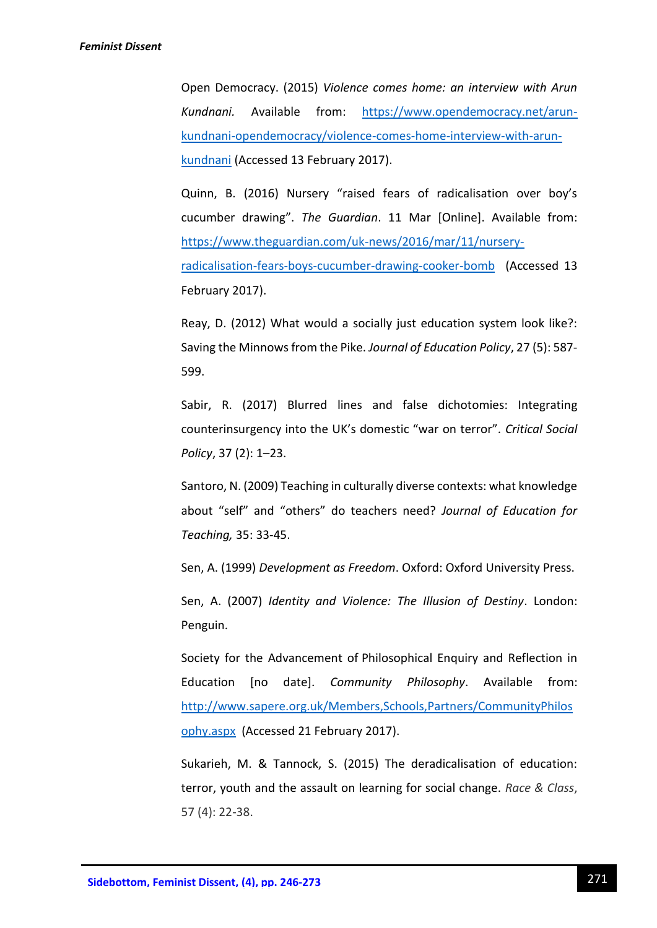Open Democracy. (2015) *Violence comes home: an interview with Arun Kundnani.* Available from: [https://www.opendemocracy.net/arun](https://www.opendemocracy.net/arun-kundnani-opendemocracy/violence-comes-home-interview-with-arun-kundnani)[kundnani-opendemocracy/violence-comes-home-interview-with-arun](https://www.opendemocracy.net/arun-kundnani-opendemocracy/violence-comes-home-interview-with-arun-kundnani)[kundnani](https://www.opendemocracy.net/arun-kundnani-opendemocracy/violence-comes-home-interview-with-arun-kundnani) (Accessed 13 February 2017).

Quinn, B. (2016) Nursery "raised fears of radicalisation over boy's cucumber drawing". *The Guardian*. 11 Mar [Online]. Available from: [https://www.theguardian.com/uk-news/2016/mar/11/nursery](https://www.theguardian.com/uk-news/2016/mar/11/nursery-radicalisation-fears-boys-cucumber-drawing-cooker-bomb)[radicalisation-fears-boys-cucumber-drawing-cooker-bomb](https://www.theguardian.com/uk-news/2016/mar/11/nursery-radicalisation-fears-boys-cucumber-drawing-cooker-bomb) (Accessed 13 February 2017).

Reay, D. (2012) What would a socially just education system look like?: Saving the Minnows from the Pike. *Journal of Education Policy*, 27 (5): 587- 599.

Sabir, R. (2017) Blurred lines and false dichotomies: Integrating counterinsurgency into the UK's domestic "war on terror". *Critical Social Policy*, 37 (2): 1–23.

Santoro, N. (2009) Teaching in culturally diverse contexts: what knowledge about "self" and "others" do teachers need? *Journal of Education for Teaching,* 35: 33-45.

Sen, A. (1999) *Development as Freedom*. Oxford: Oxford University Press.

Sen, A. (2007) *Identity and Violence: The Illusion of Destiny*. London: Penguin.

Society for the Advancement of Philosophical Enquiry and Reflection in Education [no date]. *Community Philosophy*. Available from: [http://www.sapere.org.uk/Members,Schools,Partners/CommunityPhilos](http://www.sapere.org.uk/Members,Schools,Partners/CommunityPhilosophy.aspx) [ophy.aspx](http://www.sapere.org.uk/Members,Schools,Partners/CommunityPhilosophy.aspx) (Accessed 21 February 2017).

Sukarieh, M. & Tannock, S. (2015) The deradicalisation of education: terror, youth and the assault on learning for social change. *Race & Class*, 57 (4): 22-38.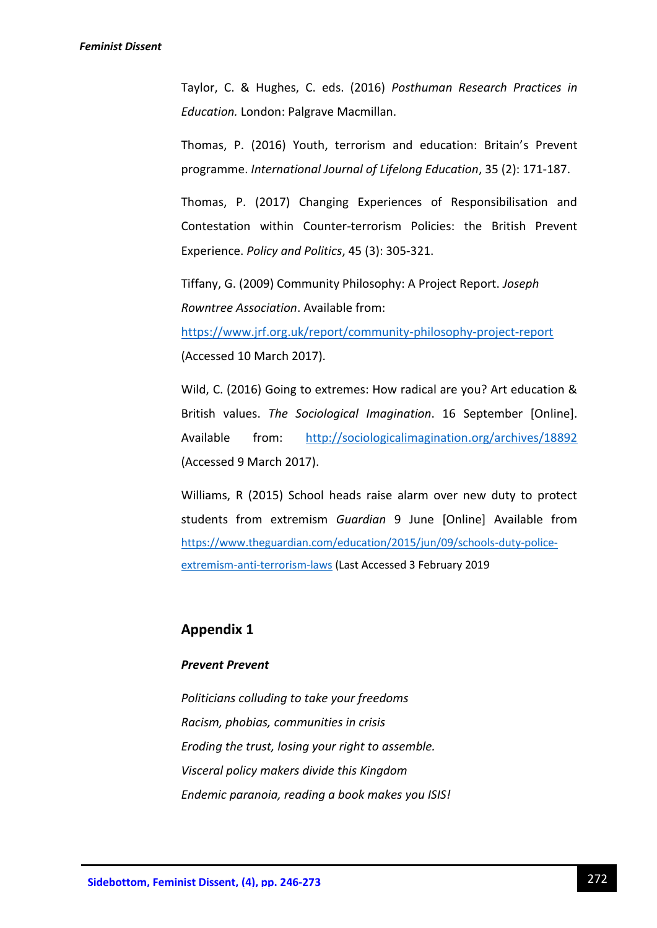Taylor, C. & Hughes, C. eds. (2016) *Posthuman Research Practices in Education.* London: Palgrave Macmillan.

Thomas, P. (2016) Youth, terrorism and education: Britain's Prevent programme. *International Journal of Lifelong Education*, 35 (2): 171-187.

Thomas, P. (2017) Changing Experiences of Responsibilisation and Contestation within Counter-terrorism Policies: the British Prevent Experience. *Policy and Politics*, 45 (3): 305-321.

Tiffany, G. (2009) Community Philosophy: A Project Report. *Joseph Rowntree Association*. Available from:

<https://www.jrf.org.uk/report/community-philosophy-project-report> (Accessed 10 March 2017).

Wild, C. (2016) Going to extremes: How radical are you? Art education & British values. *The Sociological Imagination*. 16 September [Online]. Available from: <http://sociologicalimagination.org/archives/18892> (Accessed 9 March 2017).

Williams, R (2015) School heads raise alarm over new duty to protect students from extremism *Guardian* 9 June [Online] Available from [https://www.theguardian.com/education/2015/jun/09/schools-duty-police](https://www.theguardian.com/education/2015/jun/09/schools-duty-police-extremism-anti-terrorism-laws)[extremism-anti-terrorism-laws](https://www.theguardian.com/education/2015/jun/09/schools-duty-police-extremism-anti-terrorism-laws) (Last Accessed 3 February 2019

## **Appendix 1**

## *Prevent Prevent*

*Politicians colluding to take your freedoms Racism, phobias, communities in crisis Eroding the trust, losing your right to assemble. Visceral policy makers divide this Kingdom Endemic paranoia, reading a book makes you ISIS!*